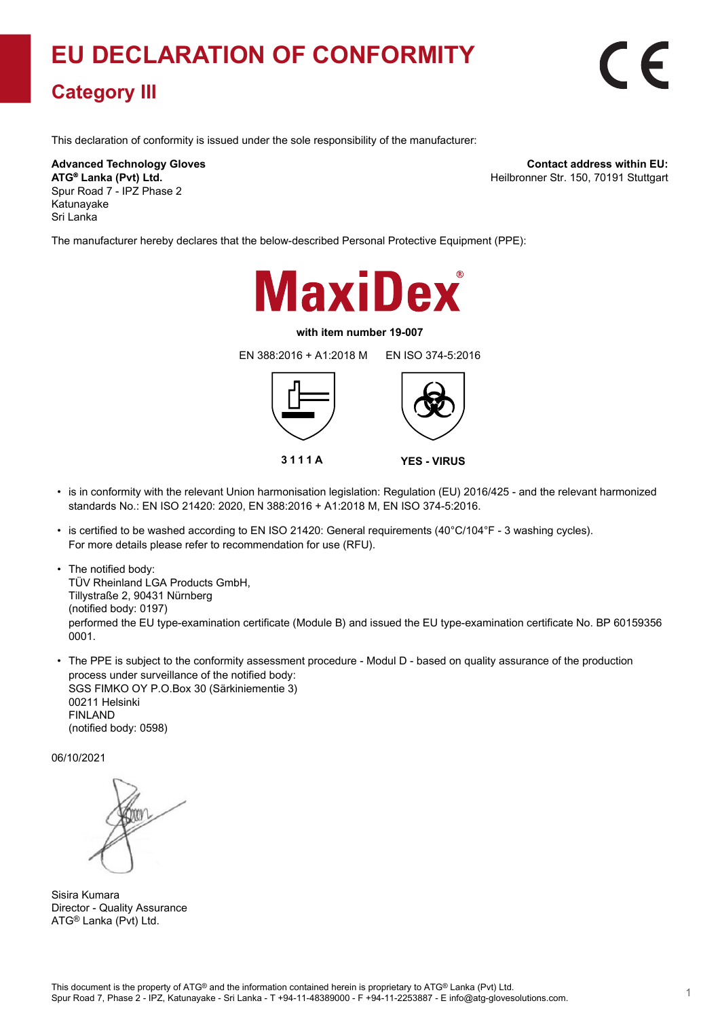## **EU DECLARATION OF CONFORMITY**

## **Category III**

This declaration of conformity is issued under the sole responsibility of the manufacturer:

**Advanced Technology Gloves ATG Lanka (Pvt) Ltd. ®** Spur Road 7 - IPZ Phase 2 Katunayake Sri Lanka

**Contact address within EU:** Heilbronner Str. 150, 70191 Stuttgart

The manufacturer hereby declares that the below-described Personal Protective Equipment (PPE):



## **with item number 19-007**

EN 388:2016 + A1:2018 M EN ISO 374-5:2016





- is in conformity with the relevant Union harmonisation legislation: Regulation (EU) 2016/425 and the relevant harmonized standards No.: EN ISO 21420: 2020, EN 388:2016 + A1:2018 M, EN ISO 374-5:2016.
- is certified to be washed according to EN ISO 21420: General requirements (40°C/104°F 3 washing cycles). For more details please refer to recommendation for use (RFU).
- The notified body: TÜV Rheinland LGA Products GmbH, Tillystraße 2, 90431 Nürnberg (notified body: 0197) performed the EU type-examination certificate (Module B) and issued the EU type-examination certificate No. BP 60159356 0001.
- The PPE is subject to the conformity assessment procedure Modul D based on quality assurance of the production process under surveillance of the notified body: SGS FIMKO OY P.O.Box 30 (Särkiniementie 3) 00211 Helsinki FINLAND

(notified body: 0598)

06/10/2021

Sisira Kumara Director - Quality Assurance ATG® Lanka (Pvt) Ltd.